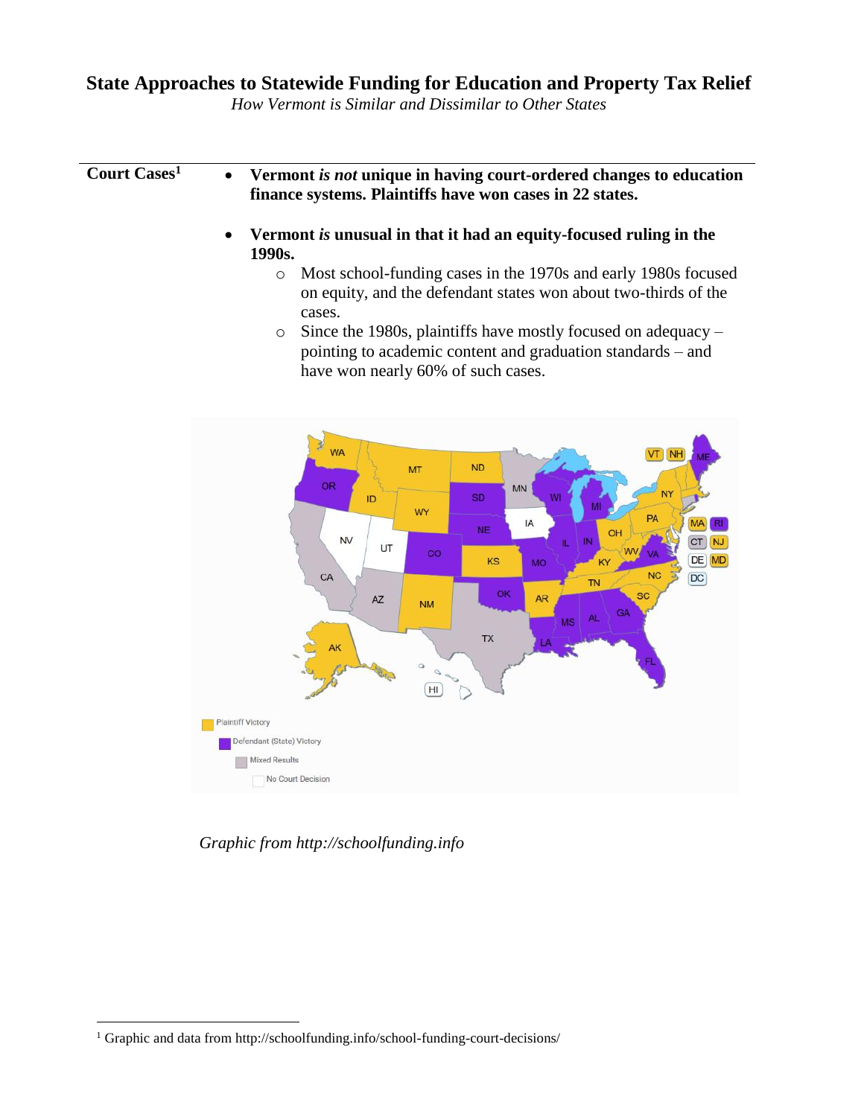## **State Approaches to Statewide Funding for Education and Property Tax Relief**

*How Vermont is Similar and Dissimilar to Other States*

## **Court Cases<sup>1</sup>** • **Vermont** *is not* **unique in having court-ordered changes to education finance systems. Plaintiffs have won cases in 22 states.**

- **Vermont** *is* **unusual in that it had an equity-focused ruling in the 1990s.** 
	- o Most school-funding cases in the 1970s and early 1980s focused on equity, and the defendant states won about two-thirds of the cases.
	- o Since the 1980s, plaintiffs have mostly focused on adequacy pointing to academic content and graduation standards – and have won nearly 60% of such cases.



*Graphic from http://schoolfunding.info*

 $\overline{a}$ 

<sup>&</sup>lt;sup>1</sup> Graphic and data from http://schoolfunding.info/school-funding-court-decisions/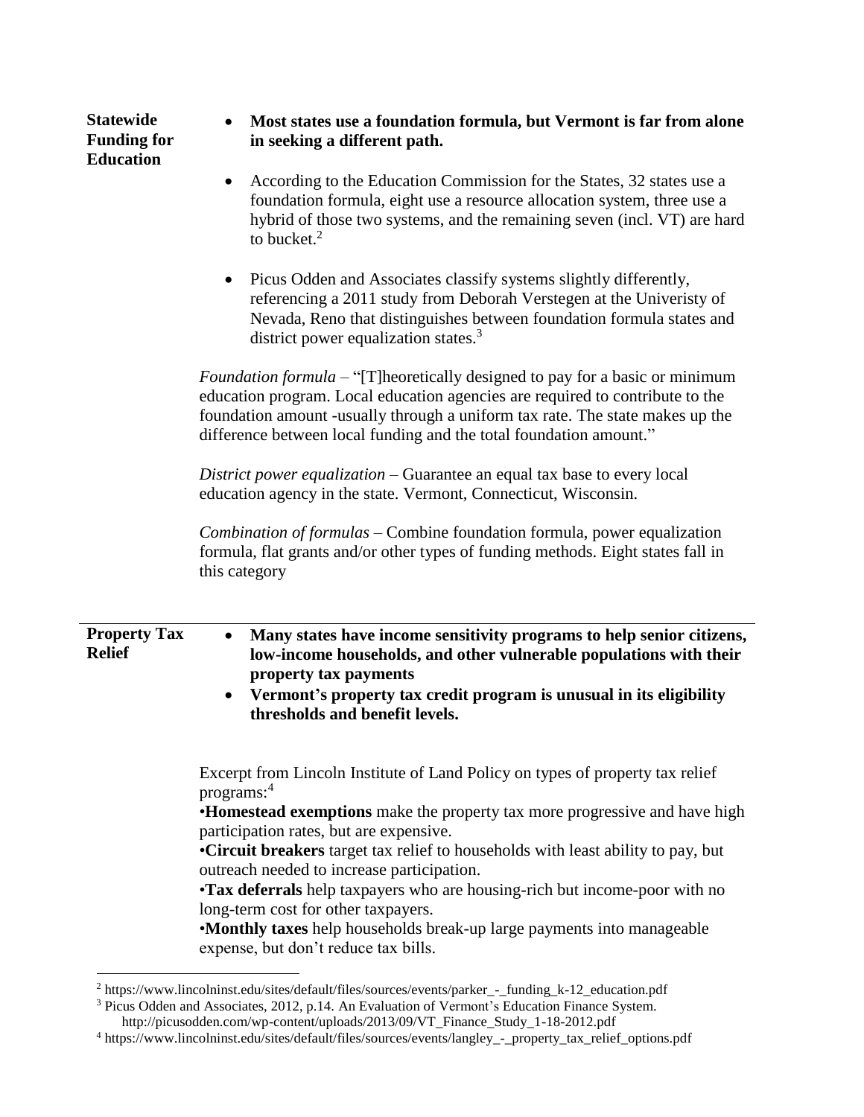| <b>Statewide</b><br><b>Funding for</b><br><b>Education</b> | Most states use a foundation formula, but Vermont is far from alone<br>in seeking a different path.                                                                                                                                                                                                                                                                                                                                                                                                                                                                                                       |  |  |
|------------------------------------------------------------|-----------------------------------------------------------------------------------------------------------------------------------------------------------------------------------------------------------------------------------------------------------------------------------------------------------------------------------------------------------------------------------------------------------------------------------------------------------------------------------------------------------------------------------------------------------------------------------------------------------|--|--|
|                                                            | According to the Education Commission for the States, 32 states use a<br>$\bullet$<br>foundation formula, eight use a resource allocation system, three use a<br>hybrid of those two systems, and the remaining seven (incl. VT) are hard<br>to bucket. $2$                                                                                                                                                                                                                                                                                                                                               |  |  |
|                                                            | Picus Odden and Associates classify systems slightly differently,<br>$\bullet$<br>referencing a 2011 study from Deborah Verstegen at the University of<br>Nevada, Reno that distinguishes between foundation formula states and<br>district power equalization states. <sup>3</sup>                                                                                                                                                                                                                                                                                                                       |  |  |
|                                                            | <i>Foundation formula</i> – "[T]heoretically designed to pay for a basic or minimum<br>education program. Local education agencies are required to contribute to the<br>foundation amount -usually through a uniform tax rate. The state makes up the<br>difference between local funding and the total foundation amount."                                                                                                                                                                                                                                                                               |  |  |
|                                                            | District power equalization – Guarantee an equal tax base to every local<br>education agency in the state. Vermont, Connecticut, Wisconsin.                                                                                                                                                                                                                                                                                                                                                                                                                                                               |  |  |
|                                                            | Combination of formulas – Combine foundation formula, power equalization<br>formula, flat grants and/or other types of funding methods. Eight states fall in<br>this category                                                                                                                                                                                                                                                                                                                                                                                                                             |  |  |
| <b>Property Tax</b><br><b>Relief</b>                       | Many states have income sensitivity programs to help senior citizens,<br>$\bullet$<br>low-income households, and other vulnerable populations with their<br>property tax payments<br>Vermont's property tax credit program is unusual in its eligibility<br>$\bullet$<br>thresholds and benefit levels.                                                                                                                                                                                                                                                                                                   |  |  |
|                                                            | Excerpt from Lincoln Institute of Land Policy on types of property tax relief<br>programs: <sup>4</sup><br>•Homestead exemptions make the property tax more progressive and have high<br>participation rates, but are expensive.<br>•Circuit breakers target tax relief to households with least ability to pay, but<br>outreach needed to increase participation.<br>•Tax deferrals help taxpayers who are housing-rich but income-poor with no<br>long-term cost for other taxpayers.<br>•Monthly taxes help households break-up large payments into manageable<br>expense, but don't reduce tax bills. |  |  |

 $\overline{a}$ <sup>2</sup> https://www.lincolninst.edu/sites/default/files/sources/events/parker\_-\_funding\_k-12\_education.pdf

<sup>&</sup>lt;sup>3</sup> Picus Odden and Associates, 2012, p.14. An Evaluation of Vermont's Education Finance System. http://picusodden.com/wp-content/uploads/2013/09/VT\_Finance\_Study\_1-18-2012.pdf

<sup>4</sup> https://www.lincolninst.edu/sites/default/files/sources/events/langley\_-\_property\_tax\_relief\_options.pdf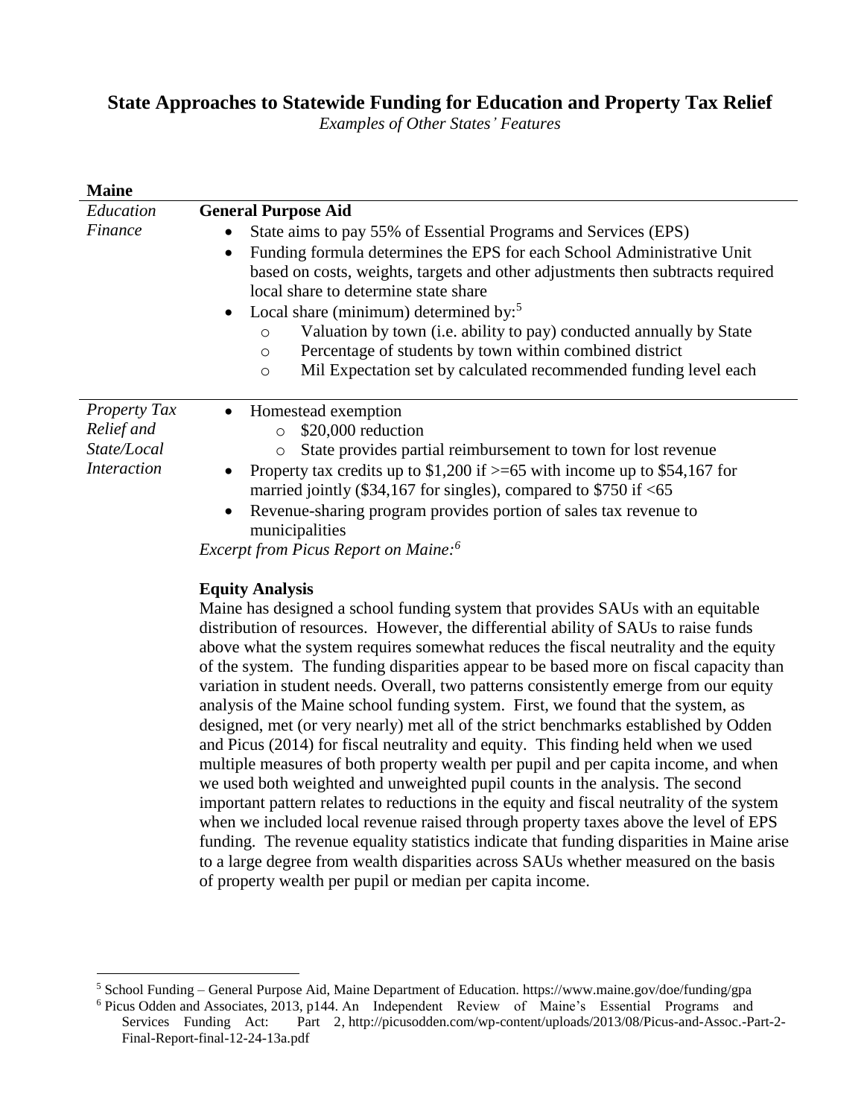## **State Approaches to Statewide Funding for Education and Property Tax Relief**

*Examples of Other States' Features*

| <b>Maine</b>                                                           |                                                                                                                                                                                                                                                                                                                                                                                                                                                                                                                                                                                            |
|------------------------------------------------------------------------|--------------------------------------------------------------------------------------------------------------------------------------------------------------------------------------------------------------------------------------------------------------------------------------------------------------------------------------------------------------------------------------------------------------------------------------------------------------------------------------------------------------------------------------------------------------------------------------------|
| Education                                                              | <b>General Purpose Aid</b>                                                                                                                                                                                                                                                                                                                                                                                                                                                                                                                                                                 |
| Finance                                                                | State aims to pay 55% of Essential Programs and Services (EPS)<br>$\bullet$<br>Funding formula determines the EPS for each School Administrative Unit<br>$\bullet$<br>based on costs, weights, targets and other adjustments then subtracts required<br>local share to determine state share<br>• Local share (minimum) determined by: <sup>5</sup><br>Valuation by town (i.e. ability to pay) conducted annually by State<br>$\circ$<br>Percentage of students by town within combined district<br>$\circ$<br>Mil Expectation set by calculated recommended funding level each<br>$\circ$ |
| <b>Property Tax</b><br>Relief and<br>State/Local<br><i>Interaction</i> | Homestead exemption<br>$\bullet$<br>\$20,000 reduction<br>$\circ$<br>State provides partial reimbursement to town for lost revenue<br>$\circ$<br>Property tax credits up to \$1,200 if $\geq$ =65 with income up to \$54,167 for<br>$\bullet$<br>married jointly (\$34,167 for singles), compared to $$750$ if <65<br>Revenue-sharing program provides portion of sales tax revenue to<br>$\bullet$<br>municipalities<br><i>Excerpt from Picus Report on Maine:</i> <sup>6</sup>                                                                                                           |

## **Equity Analysis**

 $\overline{a}$ 

Maine has designed a school funding system that provides SAUs with an equitable distribution of resources. However, the differential ability of SAUs to raise funds above what the system requires somewhat reduces the fiscal neutrality and the equity of the system. The funding disparities appear to be based more on fiscal capacity than variation in student needs. Overall, two patterns consistently emerge from our equity analysis of the Maine school funding system. First, we found that the system, as designed, met (or very nearly) met all of the strict benchmarks established by Odden and Picus (2014) for fiscal neutrality and equity. This finding held when we used multiple measures of both property wealth per pupil and per capita income, and when we used both weighted and unweighted pupil counts in the analysis. The second important pattern relates to reductions in the equity and fiscal neutrality of the system when we included local revenue raised through property taxes above the level of EPS funding. The revenue equality statistics indicate that funding disparities in Maine arise to a large degree from wealth disparities across SAUs whether measured on the basis of property wealth per pupil or median per capita income.

<sup>5</sup> School Funding – General Purpose Aid, Maine Department of Education. https://www.maine.gov/doe/funding/gpa

<sup>6</sup> Picus Odden and Associates, 2013, p144. An Independent Review of Maine's Essential Programs and Services Funding Act: Part 2, http://picusodden.com/wp-content/uploads/2013/08/Picus-and-Assoc.-Part-2- Final-Report-final-12-24-13a.pdf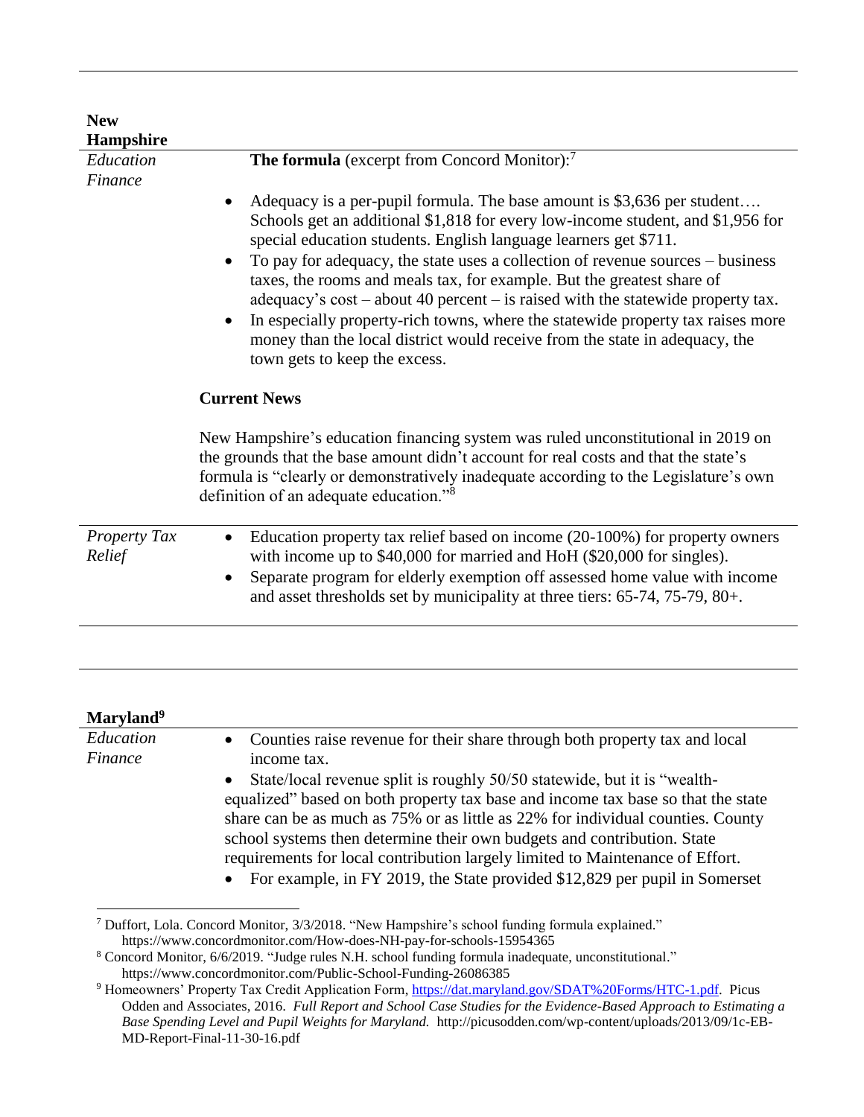| <b>New</b><br>Hampshire |                                                                                                                                                                                                                                                                                                                                                                                                                                                                                                                                                                                                                                                                                                                                                             |
|-------------------------|-------------------------------------------------------------------------------------------------------------------------------------------------------------------------------------------------------------------------------------------------------------------------------------------------------------------------------------------------------------------------------------------------------------------------------------------------------------------------------------------------------------------------------------------------------------------------------------------------------------------------------------------------------------------------------------------------------------------------------------------------------------|
| Education<br>Finance    | The formula (excerpt from Concord Monitor): <sup>7</sup><br>Adequacy is a per-pupil formula. The base amount is \$3,636 per student<br>$\bullet$<br>Schools get an additional \$1,818 for every low-income student, and \$1,956 for<br>special education students. English language learners get \$711.<br>To pay for adequacy, the state uses a collection of revenue sources - business<br>taxes, the rooms and meals tax, for example. But the greatest share of<br>adequacy's $cost - about 40 percent - is raised with the statewide property tax.$<br>In especially property-rich towns, where the statewide property tax raises more<br>money than the local district would receive from the state in adequacy, the<br>town gets to keep the excess. |
|                         | <b>Current News</b><br>New Hampshire's education financing system was ruled unconstitutional in 2019 on<br>the grounds that the base amount didn't account for real costs and that the state's<br>formula is "clearly or demonstratively inadequate according to the Legislature's own<br>definition of an adequate education." <sup>8</sup>                                                                                                                                                                                                                                                                                                                                                                                                                |
| Property Tax<br>Relief  | Education property tax relief based on income (20-100%) for property owners<br>$\bullet$<br>with income up to \$40,000 for married and HoH (\$20,000 for singles).<br>Separate program for elderly exemption off assessed home value with income<br>and asset thresholds set by municipality at three tiers: 65-74, 75-79, 80+.                                                                                                                                                                                                                                                                                                                                                                                                                             |

| Maryland <sup>9</sup> |                                                                                                                                                                                                                                                                                                                                                                                                                                                                                                                                                                                                         |
|-----------------------|---------------------------------------------------------------------------------------------------------------------------------------------------------------------------------------------------------------------------------------------------------------------------------------------------------------------------------------------------------------------------------------------------------------------------------------------------------------------------------------------------------------------------------------------------------------------------------------------------------|
| Education<br>Finance  | • Counties raise revenue for their share through both property tax and local<br>income tax.<br>State/local revenue split is roughly 50/50 statewide, but it is "wealth-<br>$\bullet$<br>equalized" based on both property tax base and income tax base so that the state<br>share can be as much as 75% or as little as 22% for individual counties. County<br>school systems then determine their own budgets and contribution. State<br>requirements for local contribution largely limited to Maintenance of Effort.<br>• For example, in FY 2019, the State provided \$12,829 per pupil in Somerset |
|                       |                                                                                                                                                                                                                                                                                                                                                                                                                                                                                                                                                                                                         |

<sup>7</sup> Duffort, Lola. Concord Monitor, 3/3/2018. "New Hampshire's school funding formula explained." https://www.concordmonitor.com/How-does-NH-pay-for-schools-15954365

<sup>&</sup>lt;sup>8</sup> Concord Monitor, 6/6/2019. "Judge rules N.H. school funding formula inadequate, unconstitutional." https://www.concordmonitor.com/Public-School-Funding-26086385

<sup>&</sup>lt;sup>9</sup> Homeowners' Property Tax Credit Application Form, [https://dat.maryland.gov/SDAT%20Forms/HTC-1.pdf.](https://dat.maryland.gov/SDAT%20Forms/HTC-1.pdf) Picus Odden and Associates, 2016. *Full Report and School Case Studies for the Evidence-Based Approach to Estimating a Base Spending Level and Pupil Weights for Maryland.* http://picusodden.com/wp-content/uploads/2013/09/1c-EB-MD-Report-Final-11-30-16.pdf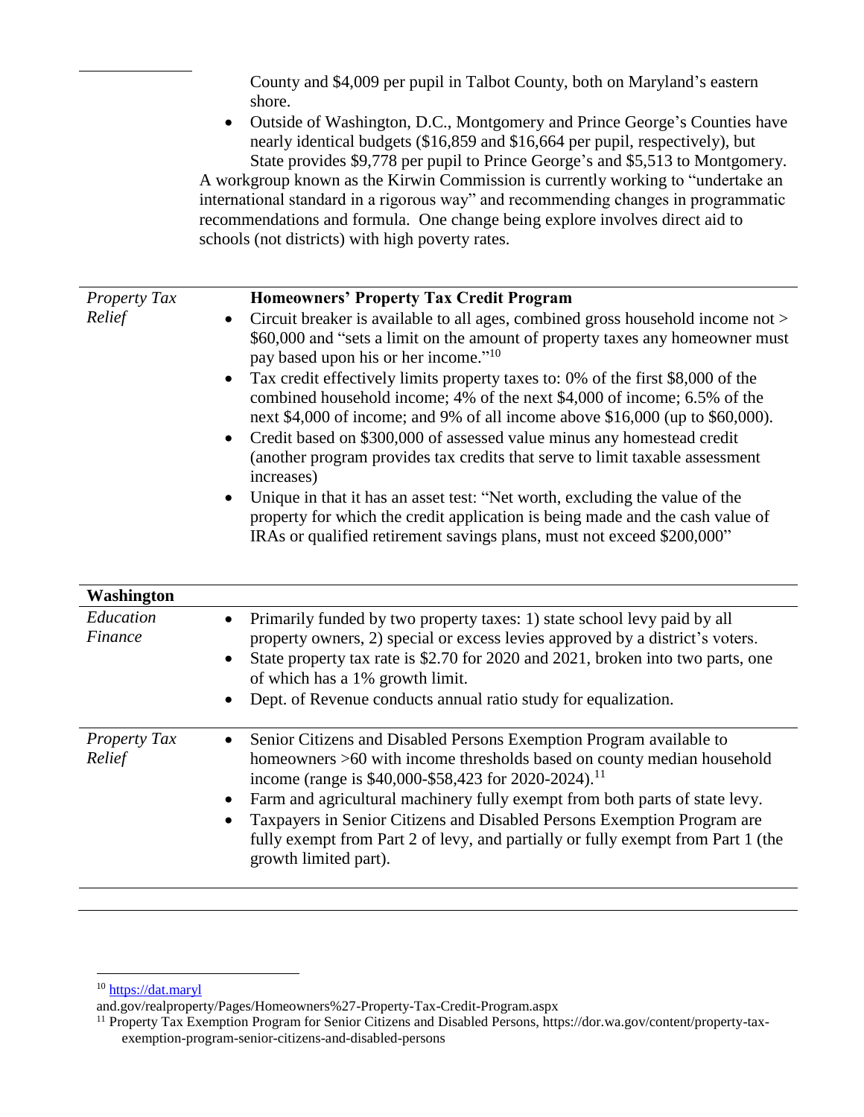County and \$4,009 per pupil in Talbot County, both on Maryland's eastern shore.

• Outside of Washington, D.C., Montgomery and Prince George's Counties have nearly identical budgets (\$16,859 and \$16,664 per pupil, respectively), but State provides \$9,778 per pupil to Prince George's and \$5,513 to Montgomery.

A workgroup known as the Kirwin Commission is currently working to "undertake an international standard in a rigorous way" and recommending changes in programmatic recommendations and formula. One change being explore involves direct aid to schools (not districts) with high poverty rates.

| <b>Property Tax</b> | <b>Homeowners' Property Tax Credit Program</b>                                                                                                                                                                                                      |
|---------------------|-----------------------------------------------------------------------------------------------------------------------------------------------------------------------------------------------------------------------------------------------------|
| Relief              | • Circuit breaker is available to all ages, combined gross household income not >                                                                                                                                                                   |
|                     | \$60,000 and "sets a limit on the amount of property taxes any homeowner must<br>pay based upon his or her income." <sup>10</sup>                                                                                                                   |
|                     | • Tax credit effectively limits property taxes to: 0% of the first $$8,000$ of the<br>combined household income; 4% of the next \$4,000 of income; 6.5% of the<br>next \$4,000 of income; and 9% of all income above $$16,000$ (up to $$60,000$ ).  |
|                     | • Credit based on \$300,000 of assessed value minus any homestead credit<br>(another program provides tax credits that serve to limit taxable assessment<br>increases)                                                                              |
|                     | Unique in that it has an asset test: "Net worth, excluding the value of the<br>$\bullet$<br>property for which the credit application is being made and the cash value of<br>IRAs or qualified retirement savings plans, must not exceed \$200,000" |

| <b>Washington</b>             |                                                                                                                                                                                                                                                                                                                                                                                                                                                                                                         |
|-------------------------------|---------------------------------------------------------------------------------------------------------------------------------------------------------------------------------------------------------------------------------------------------------------------------------------------------------------------------------------------------------------------------------------------------------------------------------------------------------------------------------------------------------|
| Education<br>Finance          | Primarily funded by two property taxes: 1) state school levy paid by all<br>$\bullet$<br>property owners, 2) special or excess levies approved by a district's voters.<br>State property tax rate is \$2.70 for 2020 and 2021, broken into two parts, one<br>$\bullet$<br>of which has a 1% growth limit.<br>Dept. of Revenue conducts annual ratio study for equalization.                                                                                                                             |
| <b>Property Tax</b><br>Relief | • Senior Citizens and Disabled Persons Exemption Program available to<br>homeowners >60 with income thresholds based on county median household<br>income (range is \$40,000-\$58,423 for 2020-2024). <sup>11</sup><br>Farm and agricultural machinery fully exempt from both parts of state levy.<br>Taxpayers in Senior Citizens and Disabled Persons Exemption Program are<br>$\bullet$<br>fully exempt from Part 2 of levy, and partially or fully exempt from Part 1 (the<br>growth limited part). |

 $\overline{a}$ 

<sup>&</sup>lt;sup>10</sup> [https://dat.maryl](https://dat.maryl/)

and.gov/realproperty/Pages/Homeowners%27-Property-Tax-Credit-Program.aspx

<sup>&</sup>lt;sup>11</sup> Property Tax Exemption Program for Senior Citizens and Disabled Persons, https://dor.wa.gov/content/property-taxexemption-program-senior-citizens-and-disabled-persons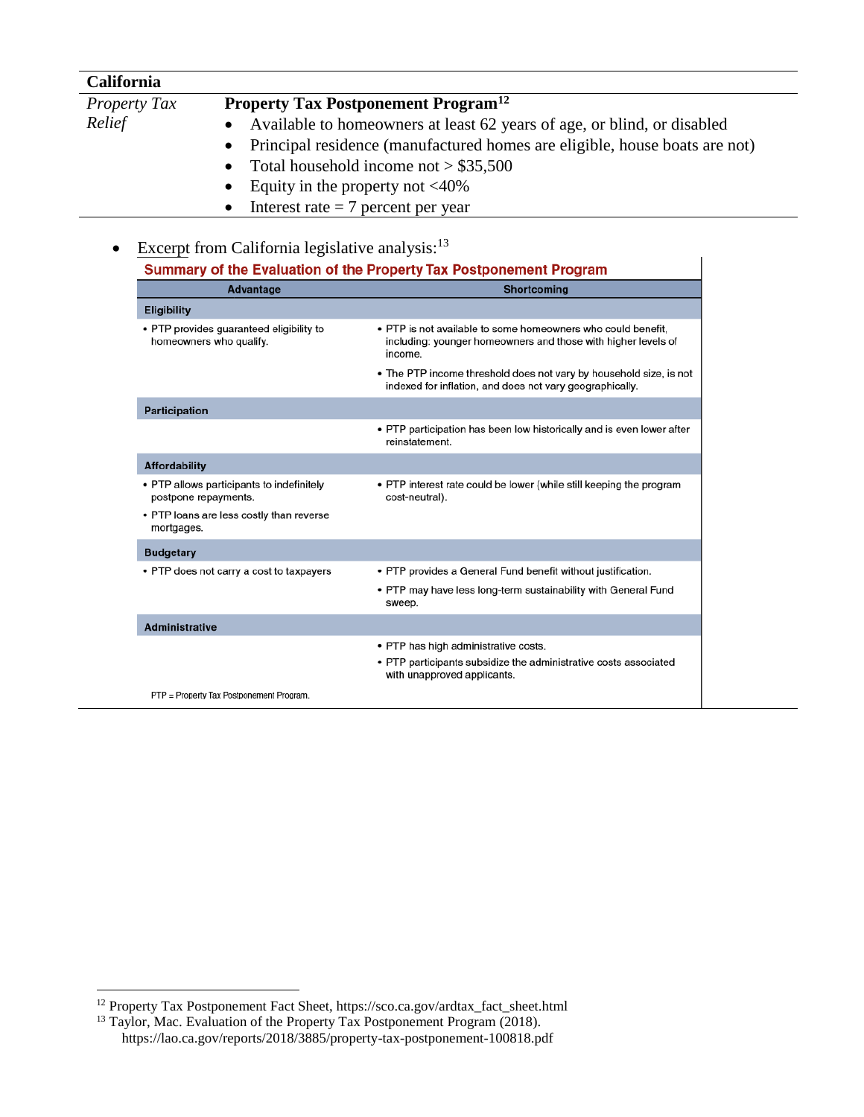| <b>California</b>   |                                                                              |
|---------------------|------------------------------------------------------------------------------|
| <b>Property Tax</b> | <b>Property Tax Postponement Program</b> <sup>12</sup>                       |
| Relief              | • Available to homeowners at least 62 years of age, or blind, or disabled    |
|                     | • Principal residence (manufactured homes are eligible, house boats are not) |
|                     | • Total household income not $> $35,500$                                     |
|                     | • Equity in the property not $\langle 40\%$                                  |
|                     | • Interest rate $= 7$ percent per year                                       |

• PTP provides a General Fund benefit without justification. • PTP may have less long-term sustainability with General Fund

• PTP participants subsidize the administrative costs associated

• PTP has high administrative costs.

with unapproved applicants.

| Excerpt from California legislative analysis: <sup>13</sup>         |                                                                                                                                          |
|---------------------------------------------------------------------|------------------------------------------------------------------------------------------------------------------------------------------|
|                                                                     | Summary of the Evaluation of the Property Tax Postponement Program                                                                       |
| <b>Advantage</b>                                                    | <b>Shortcoming</b>                                                                                                                       |
| <b>Eligibility</b>                                                  |                                                                                                                                          |
| • PTP provides guaranteed eligibility to<br>homeowners who qualify. | • PTP is not available to some homeowners who could benefit,<br>including: younger homeowners and those with higher levels of<br>income. |
|                                                                     | • The PTP income threshold does not vary by household size, is not<br>indexed for inflation, and does not vary geographically.           |
| Participation                                                       |                                                                                                                                          |
|                                                                     | • PTP participation has been low historically and is even lower after<br>reinstatement.                                                  |
| <b>Affordability</b>                                                |                                                                                                                                          |
| • PTP allows participants to indefinitely<br>postpone repayments.   | • PTP interest rate could be lower (while still keeping the program<br>cost-neutral).                                                    |

sweep.

PTP = Property Tax Postponement Program.

• PTP loans are less costly than reverse

• PTP does not carry a cost to taxpayers

mortgages. **Budgetary** 

Administrative

 $\overline{a}$ 

<sup>&</sup>lt;sup>12</sup> Property Tax Postponement Fact Sheet, https://sco.ca.gov/ardtax\_fact\_sheet.html

<sup>&</sup>lt;sup>13</sup> Taylor, Mac. Evaluation of the Property Tax Postponement Program (2018). https://lao.ca.gov/reports/2018/3885/property-tax-postponement-100818.pdf